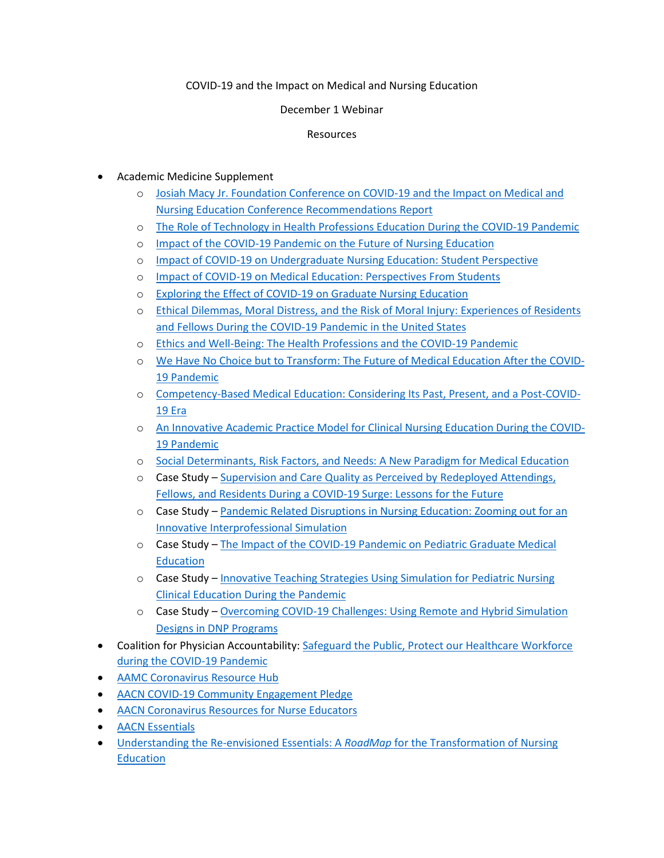## COVID-19 and the Impact on Medical and Nursing Education

## December 1 Webinar

## Resources

- Academic Medicine Supplement
	- o [Josiah Macy Jr. Foundation Conference on COVID-19 and the Impact on Medical and](https://journals.lww.com/academicmedicine/Citation/9000/Josiah_Macy_Jr__Foundation_Conference_on_COVID_19.96470.aspx)  Nursing Education [Conference Recommendations Report](https://journals.lww.com/academicmedicine/Citation/9000/Josiah_Macy_Jr__Foundation_Conference_on_COVID_19.96470.aspx)
	- o [The Role of Technology in Health Professions Education During the COVID-19 Pandemic](https://journals.lww.com/academicmedicine/Abstract/9000/The_Role_of_Technology_in_Health_Professions.96460.aspx)
	- o [Impact of the COVID-19 Pandemic on the Future of Nursing Education](https://journals.lww.com/academicmedicine/Abstract/9000/Impact_of_the_COVID_19_Pandemic_on_the_Future_of.96459.aspx)
	- o [Impact of COVID-19 on Undergraduate Nursing Education: Student Perspective](https://journals.lww.com/academicmedicine/Abstract/9000/Impact_of_COVID_19_on_Undergraduate_Nursing.96457.aspx)
	- o Impact of COVID-19 on [Medical Education: Perspectives From Students](https://journals.lww.com/academicmedicine/Abstract/9000/Impact_of_COVID_19_on_Medical_Education_.96454.aspx)
	- o [Exploring the Effect of COVID-19 on Graduate Nursing Education](https://journals.lww.com/academicmedicine/Abstract/9000/Exploring_the_Effect_of_COVID_19_on_Graduate.96444.aspx)
	- o [Ethical Dilemmas, Moral Distress, and the Risk of Moral Injury: Experiences of Residents](https://journals.lww.com/academicmedicine/Abstract/9000/Ethical_Dilemmas,_Moral_Distress,_and_the_Risk_of.96445.aspx)  [and Fellows During the COVID-19 Pandemic in the United States](https://journals.lww.com/academicmedicine/Abstract/9000/Ethical_Dilemmas,_Moral_Distress,_and_the_Risk_of.96445.aspx)
	- o [Ethics and Well-Being: The Health Professions and the COVID-19 Pandemic](https://journals.lww.com/academicmedicine/Abstract/9000/Ethics_and_Well_Being__The_Health_Professions_and.96455.aspx)
	- o [We Have No Choice but to Transform: The Future of Medical Education After the COVID-](https://journals.lww.com/academicmedicine/Abstract/9000/We_Have_No_Choice_but_to_Transform__The_Future_of.96456.aspx)[19 Pandemic](https://journals.lww.com/academicmedicine/Abstract/9000/We_Have_No_Choice_but_to_Transform__The_Future_of.96456.aspx)
	- o [Competency-Based Medical Education: Considering Its Past, Present, and a Post-COVID-](https://journals.lww.com/academicmedicine/Abstract/9000/Competency_Based_Medical_Education__Considering.96446.aspx)[19 Era](https://journals.lww.com/academicmedicine/Abstract/9000/Competency_Based_Medical_Education__Considering.96446.aspx)
	- o [An Innovative Academic Practice Model for Clinical Nursing Education During the COVID-](https://journals.lww.com/academicmedicine/Abstract/9000/An_Innovative_Academic_Practice_Model_for_Clinical.96447.aspx)[19 Pandemic](https://journals.lww.com/academicmedicine/Abstract/9000/An_Innovative_Academic_Practice_Model_for_Clinical.96447.aspx)
	- o [Social Determinants, Risk Factors, and Needs: A New Paradigm for Medical Education](https://journals.lww.com/academicmedicine/Abstract/9000/Social_Determinants,_Risk_Factors,_and_Needs__A.96448.aspx)
	- o Case Study [Supervision and Care Quality as Perceived by Redeployed Attendings,](https://journals.lww.com/academicmedicine/Abstract/9000/Supervision_and_Care_Quality_as_Perceived_by.96458.aspx)  [Fellows, and Residents During a COVID-19 Surge: Lessons for the Future](https://journals.lww.com/academicmedicine/Abstract/9000/Supervision_and_Care_Quality_as_Perceived_by.96458.aspx)
	- o Case Study [Pandemic Related Disruptions in Nursing Education: Zooming out for an](https://journals.lww.com/academicmedicine/Abstract/9000/Pandemic_Related_Disruptions_in_Nursing_Education_.96441.aspx)  [Innovative Interprofessional Simulation](https://journals.lww.com/academicmedicine/Abstract/9000/Pandemic_Related_Disruptions_in_Nursing_Education_.96441.aspx)
	- o Case Study [The Impact of the COVID-19 Pandemic on Pediatric Graduate Medical](https://journals.lww.com/academicmedicine/Abstract/9000/The_Impact_of_the_COVID_19_Pandemic_on_Pediatric.96442.aspx)  **[Education](https://journals.lww.com/academicmedicine/Abstract/9000/The_Impact_of_the_COVID_19_Pandemic_on_Pediatric.96442.aspx)**
	- o Case Study [Innovative Teaching Strategies Using Simulation for Pediatric Nursing](https://journals.lww.com/academicmedicine/Abstract/9000/Innovative_Teaching_Strategies_Using_Simulation.96443.aspx)  [Clinical Education During the Pandemic](https://journals.lww.com/academicmedicine/Abstract/9000/Innovative_Teaching_Strategies_Using_Simulation.96443.aspx)
	- o Case Study [Overcoming COVID-19 Challenges: Using Remote and Hybrid Simulation](https://journals.lww.com/academicmedicine/Abstract/9000/Overcoming_COVID_19_Challenges__Using_Remote_and.96452.aspx)  [Designs in DNP Programs](https://journals.lww.com/academicmedicine/Abstract/9000/Overcoming_COVID_19_Challenges__Using_Remote_and.96452.aspx)
- Coalition for Physician Accountability: [Safeguard the Public, Protect our Healthcare Workforce](https://www.aamc.org/media/44016/download)  [during the COVID-19 Pandemic](https://www.aamc.org/media/44016/download)
- [AAMC Coronavirus](https://www.aamc.org/coronavirus-covid-19-resource-hub) Resource Hub
- [AACN COVID-19 Community Engagement Pledge](https://www.aacnnursing.org/COVID-Campaign)
- [AACN Coronavirus Resources for Nurse Educators](https://www.aacnnursing.org/News-Information/COVID-19)
- [AACN Essentials](https://www.aacnnursing.org/AACN-Essentials)
- [Understanding the Re-envisioned Essentials: A](https://www.aacnnursing.org/Portals/42/AcademicNursing/pdf/Roadmap-to-New-Essentials.pdf) *RoadMap* for the Transformation of Nursing **[Education](https://www.aacnnursing.org/Portals/42/AcademicNursing/pdf/Roadmap-to-New-Essentials.pdf)**